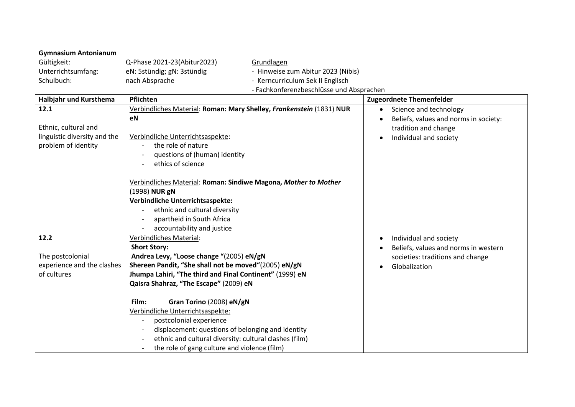## **Gymnasium Antonianum**

| Gültigkeit:        | Q-Phase 2021-23(Abitur2023) | Grundlagen                             |
|--------------------|-----------------------------|----------------------------------------|
| Unterrichtsumfang: | eN: 5stündig; gN: 3stündig  | - Hinweise zum Abitur 2023 (Nibis)     |
| Schulbuch:         | nach Absprache              | - Kerncurriculum Sek II Englisch       |
|                    |                             | Eachkanferenzhecchlüsse und Absprachen |

|                              | - Fachkohferenzbeschlusse und Absprächen                             |                                       |  |  |
|------------------------------|----------------------------------------------------------------------|---------------------------------------|--|--|
| Halbjahr und Kursthema       | Pflichten                                                            | <b>Zugeordnete Themenfelder</b>       |  |  |
| 12.1                         | Verbindliches Material: Roman: Mary Shelley, Frankenstein (1831) NUR | Science and technology<br>$\bullet$   |  |  |
|                              | eN                                                                   | Beliefs, values and norms in society: |  |  |
| Ethnic, cultural and         |                                                                      | tradition and change                  |  |  |
| linguistic diversity and the | Verbindliche Unterrichtsaspekte:                                     | Individual and society                |  |  |
| problem of identity          | the role of nature                                                   |                                       |  |  |
|                              | questions of (human) identity                                        |                                       |  |  |
|                              | ethics of science                                                    |                                       |  |  |
|                              |                                                                      |                                       |  |  |
|                              | Verbindliches Material: Roman: Sindiwe Magona, Mother to Mother      |                                       |  |  |
|                              | (1998) NUR gN                                                        |                                       |  |  |
|                              | <b>Verbindliche Unterrichtsaspekte:</b>                              |                                       |  |  |
|                              | ethnic and cultural diversity                                        |                                       |  |  |
|                              | apartheid in South Africa                                            |                                       |  |  |
|                              | accountability and justice                                           |                                       |  |  |
| 12.2                         | <b>Verbindliches Material:</b>                                       | Individual and society<br>$\bullet$   |  |  |
|                              | <b>Short Story:</b>                                                  | Beliefs, values and norms in western  |  |  |
| The postcolonial             | Andrea Levy, "Loose change "(2005) eN/gN                             | societies: traditions and change      |  |  |
| experience and the clashes   | Shereen Pandit, "She shall not be moved"(2005) eN/gN                 | Globalization                         |  |  |
| of cultures                  | Jhumpa Lahiri, "The third and Final Continent" (1999) eN             |                                       |  |  |
|                              | Qaisra Shahraz, "The Escape" (2009) eN                               |                                       |  |  |
|                              |                                                                      |                                       |  |  |
|                              | Gran Torino (2008) eN/gN<br>Film:                                    |                                       |  |  |
|                              | Verbindliche Unterrichtsaspekte:                                     |                                       |  |  |
|                              | postcolonial experience<br>$\overline{\phantom{a}}$                  |                                       |  |  |
|                              | displacement: questions of belonging and identity                    |                                       |  |  |
|                              | ethnic and cultural diversity: cultural clashes (film)               |                                       |  |  |
|                              | the role of gang culture and violence (film)                         |                                       |  |  |